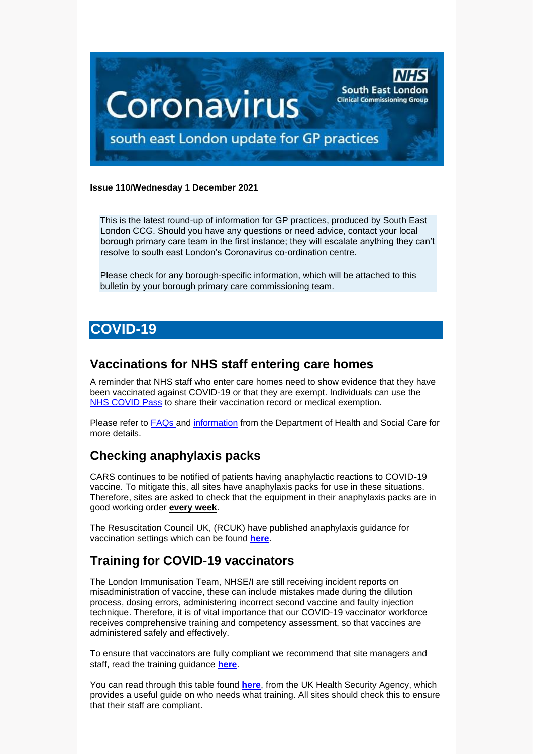

#### **Issue 110/Wednesday 1 December 2021**

This is the latest round-up of information for GP practices, produced by South East London CCG. Should you have any questions or need advice, contact your local borough primary care team in the first instance; they will escalate anything they can't resolve to south east London's Coronavirus co-ordination centre.

Please check for any borough-specific information, which will be attached to this bulletin by your borough primary care commissioning team.

# **COVID-19**

## **Vaccinations for NHS staff entering care homes**

A reminder that NHS staff who enter care homes need to show evidence that they have been vaccinated against COVID-19 or that they are exempt. Individuals can use the [NHS COVID Pass](https://www.nhs.uk/conditions/coronavirus-covid-19/covid-pass/) to share their vaccination record or medical exemption.

Please refer to **FAQs** and [information](https://www.gov.uk/guidance/covid-19-medical-exemptions-proving-you-are-unable-to-get-vaccinated) from the Department of Health and Social Care for more details.

## **Checking anaphylaxis packs**

CARS continues to be notified of patients having anaphylactic reactions to COVID-19 vaccine. To mitigate this, all sites have anaphylaxis packs for use in these situations. Therefore, sites are asked to check that the equipment in their anaphylaxis packs are in good working order **every week**.

The Resuscitation Council UK, (RCUK) have published anaphylaxis guidance for vaccination settings which can be found **[here](https://www.resus.org.uk/about-us/news-and-events/rcuk-publishes-anaphylaxis-guidance-vaccination-settings)**.

# **Training for COVID-19 vaccinators**

The London Immunisation Team, NHSE/I are still receiving incident reports on misadministration of vaccine, these can include mistakes made during the dilution process, dosing errors, administering incorrect second vaccine and faulty injection technique. Therefore, it is of vital importance that our COVID-19 vaccinator workforce receives comprehensive training and competency assessment, so that vaccines are administered safely and effectively.

To ensure that vaccinators are fully compliant we recommend that site managers and staff, read the training guidance **[here](https://www.gov.uk/government/publications/covid-19-vaccinator-training-recommendations/training-recommendations-for-covid-19-vaccinators)**.

You can read through this table found **[here](https://assets.publishing.service.gov.uk/government/uploads/system/uploads/attachment_data/file/1022975/UKHSA_training_for_COVID-19_vaccinators_appendix_A.pdf)**, from the UK Health Security Agency, which provides a useful guide on who needs what training. All sites should check this to ensure that their staff are compliant.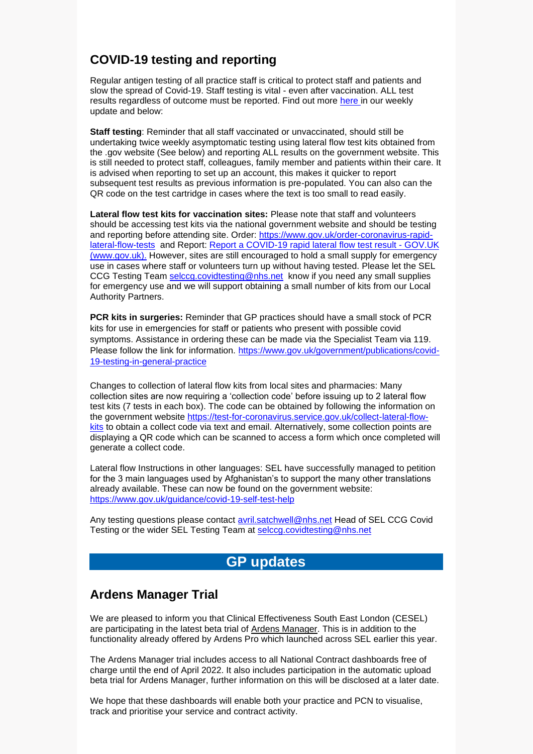# **COVID-19 testing and reporting**

Regular antigen testing of all practice staff is critical to protect staff and patients and slow the spread of Covid-19. Staff testing is vital - even after vaccination. ALL test results regardless of outcome must be reported. Find out more [here](https://selondonccg.nhs.uk/wp-content/uploads/2021/11/Key-messages-for-GP-Bulletin-26-November-2021.pdf) in our weekly update and below:

**Staff testing**: Reminder that all staff vaccinated or unvaccinated, should still be undertaking twice weekly asymptomatic testing using lateral flow test kits obtained from the .gov website (See below) and reporting ALL results on the government website. This is still needed to protect staff, colleagues, family member and patients within their care. It is advised when reporting to set up an account, this makes it quicker to report subsequent test results as previous information is pre-populated. You can also can the QR code on the test cartridge in cases where the text is too small to read easily.

**Lateral flow test kits for vaccination sites:** Please note that staff and volunteers should be accessing test kits via the national government website and should be testing and reporting before attending site. Order: [https://www.gov.uk/order-coronavirus-rapid](https://www.gov.uk/order-coronavirus-rapid-lateral-flow-tests)[lateral-flow-tests](https://www.gov.uk/order-coronavirus-rapid-lateral-flow-tests) and Report: [Report a COVID-19 rapid lateral flow test result -](https://www.gov.uk/report-covid19-result) GOV.UK [\(www.gov.uk\).](https://www.gov.uk/report-covid19-result) However, sites are still encouraged to hold a small supply for emergency use in cases where staff or volunteers turn up without having tested. Please let the SEL CCG Testing Team [selccg.covidtesting@nhs.net](mailto:selccg.covidtesting@nhs.net) know if you need any small supplies for emergency use and we will support obtaining a small number of kits from our Local Authority Partners.

**PCR kits in surgeries:** Reminder that GP practices should have a small stock of PCR kits for use in emergencies for staff or patients who present with possible covid symptoms. Assistance in ordering these can be made via the Specialist Team via 119. Please follow the link for information. [https://www.gov.uk/government/publications/covid-](https://www.gov.uk/government/publications/covid-19-testing-in-general-practice)[19-testing-in-general-practice](https://www.gov.uk/government/publications/covid-19-testing-in-general-practice)

Changes to collection of lateral flow kits from local sites and pharmacies: Many collection sites are now requiring a 'collection code' before issuing up to 2 lateral flow test kits (7 tests in each box). The code can be obtained by following the information on the government website [https://test-for-coronavirus.service.gov.uk/collect-lateral-flow](https://test-for-coronavirus.service.gov.uk/collect-lateral-flow-kits)[kits](https://test-for-coronavirus.service.gov.uk/collect-lateral-flow-kits) to obtain a collect code via text and email. Alternatively, some collection points are displaying a QR code which can be scanned to access a form which once completed will generate a collect code.

Lateral flow Instructions in other languages: SEL have successfully managed to petition for the 3 main languages used by Afghanistan's to support the many other translations already available. These can now be found on the government website: <https://www.gov.uk/guidance/covid-19-self-test-help>

Any testing questions please contact [avril.satchwell@nhs.net](mailto:avril.satchwell@nhs.net) Head of SEL CCG Covid Testing or the wider SEL Testing Team at [selccg.covidtesting@nhs.net](mailto:selccg.covidtesting@nhs.net)

# **GP updates**

## **Ardens Manager Trial**

We are pleased to inform you that Clinical Effectiveness South East London (CESEL) are participating in the latest beta trial of [Ardens Manager.](https://ardensmanager.com/) This is in addition to the functionality already offered by Ardens Pro which launched across SEL earlier this year.

The Ardens Manager trial includes access to all National Contract dashboards free of charge until the end of April 2022. It also includes participation in the automatic upload beta trial for Ardens Manager, further information on this will be disclosed at a later date.

We hope that these dashboards will enable both your practice and PCN to visualise, track and prioritise your service and contract activity.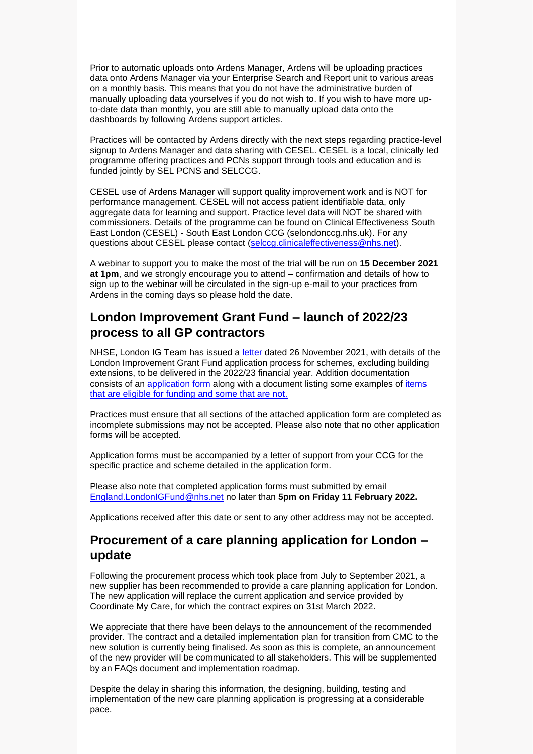Prior to automatic uploads onto Ardens Manager, Ardens will be uploading practices data onto Ardens Manager via your Enterprise Search and Report unit to various areas on a monthly basis. This means that you do not have the administrative burden of manually uploading data yourselves if you do not wish to. If you wish to have more upto-date data than monthly, you are still able to manually upload data onto the dashboards by following Ardens [support articles.](https://eur01.safelinks.protection.outlook.com/?url=https%3A%2F%2Fsupport.ardens.org.uk%2Fsupport%2Fsolutions%2F31000076443&data=04%7C01%7Caccounts%40ardens.org.uk%7Cb94553b01a4542ea3d2208d947aa345b%7C2574bae132844b5a8833850acab88d43%7C1%7C0%7C637619618610277138%7CUnknown%7CTWFpbGZsb3d8eyJWIjoiMC4wLjAwMDAiLCJQIjoiV2luMzIiLCJBTiI6Ik1haWwiLCJXVCI6Mn0%3D%7C1000&sdata=ufQQYVRAr3SZzeRVvvpCClioBf4u30uWJRW5VPFpWKk%3D&reserved=0)

Practices will be contacted by Ardens directly with the next steps regarding practice-level signup to Ardens Manager and data sharing with CESEL. CESEL is a local, clinically led programme offering practices and PCNs support through tools and education and is funded jointly by SEL PCNS and SELCCG.

CESEL use of Ardens Manager will support quality improvement work and is NOT for performance management. CESEL will not access patient identifiable data, only aggregate data for learning and support. Practice level data will NOT be shared with commissioners. Details of the programme can be found on [Clinical Effectiveness South](https://selondonccg.nhs.uk/covid_19/clinical-effectiveness-sel/)  East London (CESEL) - [South East London CCG \(selondonccg.nhs.uk\).](https://selondonccg.nhs.uk/covid_19/clinical-effectiveness-sel/) For any questions about CESEL please contact [\(selccg.clinicaleffectiveness@nhs.net\)](mailto:selccg.clinicaleffectiveness@nhs.net).

A webinar to support you to make the most of the trial will be run on **15 December 2021 at 1pm**, and we strongly encourage you to attend – confirmation and details of how to sign up to the webinar will be circulated in the sign-up e-mail to your practices from Ardens in the coming days so please hold the date.

# **London Improvement Grant Fund – launch of 2022/23 process to all GP contractors**

NHSE, London IG Team has issued a [letter](https://selondonccg.nhs.uk/wp-content/uploads/2021/11/London-IG-Launch-of-2022-23-Fund-Letter.pdf) dated 26 November 2021, with details of the London Improvement Grant Fund application process for schemes, excluding building extensions, to be delivered in the 2022/23 financial year. Addition documentation consists of an [application form](https://selondonccg.nhs.uk/wp-content/uploads/2021/11/London-IG-Expression-of-Interest-Form-IGLR1-2022-23.docx) along with a document listing some examples of items [that are eligible for funding and some that are not.](https://selondonccg.nhs.uk/wp-content/uploads/2021/11/London-IG-Examples-of-Eligible-and-Non-Eligible-Items-for-Funding_2022-23.pdf)

Practices must ensure that all sections of the attached application form are completed as incomplete submissions may not be accepted. Please also note that no other application forms will be accepted.

Application forms must be accompanied by a letter of support from your CCG for the specific practice and scheme detailed in the application form.

Please also note that completed application forms must submitted by email [England.LondonIGFund@nhs.net](mailto:England.LondonIGFund@nhs.net) no later than **5pm on Friday 11 February 2022.**

Applications received after this date or sent to any other address may not be accepted.

## **Procurement of a care planning application for London – update**

Following the procurement process which took place from July to September 2021, a new supplier has been recommended to provide a care planning application for London. The new application will replace the current application and service provided by Coordinate My Care, for which the contract expires on 31st March 2022.

We appreciate that there have been delays to the announcement of the recommended provider. The contract and a detailed implementation plan for transition from CMC to the new solution is currently being finalised. As soon as this is complete, an announcement of the new provider will be communicated to all stakeholders. This will be supplemented by an FAQs document and implementation roadmap.

Despite the delay in sharing this information, the designing, building, testing and implementation of the new care planning application is progressing at a considerable pace.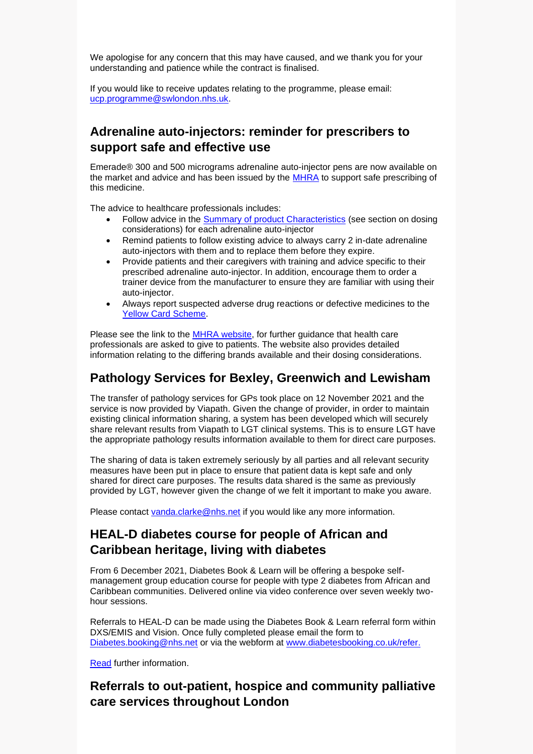We apologise for any concern that this may have caused, and we thank you for your understanding and patience while the contract is finalised.

If you would like to receive updates relating to the programme, please email: [ucp.programme@swlondon.nhs.uk.](mailto:ucp.programme@swlondon.nhs.uk)

# **Adrenaline auto-injectors: reminder for prescribers to support safe and effective use**

Emerade® 300 and 500 micrograms adrenaline auto-injector pens are now available on the market and advice and has been issued by the [MHRA](https://www.gov.uk/drug-safety-update/adrenaline-auto-injectors-reminder-for-prescribers-to-support-safe-and-effective-use) to support safe prescribing of this medicine.

The advice to healthcare professionals includes:

- Follow advice in the [Summary of product Characteristics](https://www.medicines.org.uk/emc/) (see section on dosing considerations) for each adrenaline auto-injector
- Remind patients to follow existing advice to always carry 2 in-date adrenaline auto-injectors with them and to replace them before they expire.
- Provide patients and their caregivers with training and advice specific to their prescribed adrenaline auto-injector. In addition, encourage them to order a trainer device from the manufacturer to ensure they are familiar with using their auto-injector.
- Always report suspected adverse drug reactions or defective medicines to the [Yellow Card Scheme.](https://coronavirus-yellowcard.mhra.gov.uk/)

Please see the link to the **MHRA website**, for further guidance that health care professionals are asked to give to patients. The website also provides detailed information relating to the differing brands available and their dosing considerations.

## **Pathology Services for Bexley, Greenwich and Lewisham**

The transfer of pathology services for GPs took place on 12 November 2021 and the service is now provided by Viapath. Given the change of provider, in order to maintain existing clinical information sharing, a system has been developed which will securely share relevant results from Viapath to LGT clinical systems. This is to ensure LGT have the appropriate pathology results information available to them for direct care purposes.

The sharing of data is taken extremely seriously by all parties and all relevant security measures have been put in place to ensure that patient data is kept safe and only shared for direct care purposes. The results data shared is the same as previously provided by LGT, however given the change of we felt it important to make you aware.

Please contact [vanda.clarke@nhs.net](mailto:vanda.clarke@nhs.net) if you would like any more information.

# **HEAL-D diabetes course for people of African and Caribbean heritage, living with diabetes**

From 6 December 2021, Diabetes Book & Learn will be offering a bespoke selfmanagement group education course for people with type 2 diabetes from African and Caribbean communities. Delivered online via video conference over seven weekly twohour sessions.

Referrals to HEAL-D can be made using the Diabetes Book & Learn referral form within DXS/EMIS and Vision. Once fully completed please email the form to [Diabetes.booking@nhs.net](mailto:Diabetes.booking@nhs.net) or via the webform at [www.diabetesbooking.co.uk/refer.](http://www.diabetesbooking.co.uk/refer)

[Read](https://selondonccg.nhs.uk/wp-content/uploads/2021/11/Comms-for-GPS-regarding-HEAL-D-on-DBL-003.pdf) further information.

# **Referrals to out-patient, hospice and community palliative care services throughout London**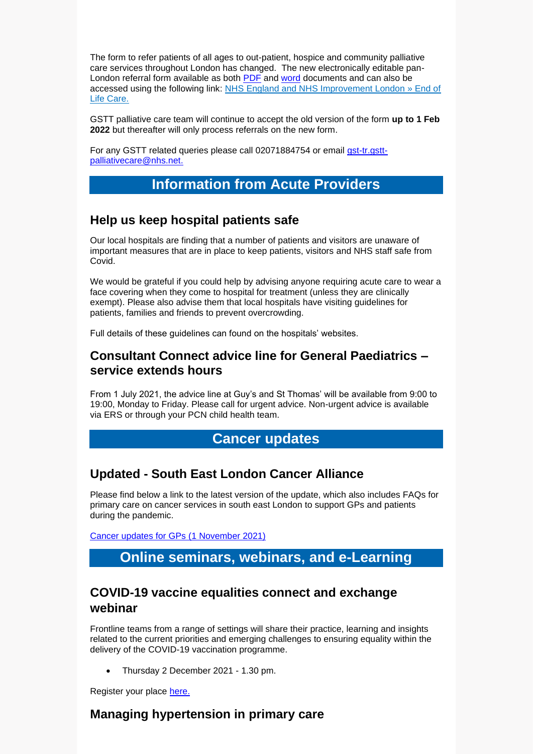The form to refer patients of all ages to out-patient, hospice and community palliative care services throughout London has changed. The new electronically editable pan-London referral form available as both [PDF](https://selondonccg.nhs.uk/wp-content/uploads/2021/11/FINAL-All-Age-Pan-London-Specialist-Palliative-Care-Referral-Form-V2-Oupatient-Community-and-Hospice-Services_20211029.pdf) and [word](https://selondonccg.nhs.uk/wp-content/uploads/2021/11/FINAL-All-Age-Pan-London-Specialist-Palliative-Care-Referral-Form-V2-Oupatient-Community-and-Hospice-Services_20211031.docx) documents and can also be accessed using the following link: [NHS England and NHS Improvement London » End of](https://scanmail.trustwave.com/?c=8248&d=kfaL4cXM38Eh7N_Ri5kWQp1hXnhHBS9v-K7IqLM5YQ&u=https%3a%2f%2fwww%2eengland%2enhs%2euk%2flondon%2flondon-clinical-networks%2four-networks%2fend-of-life-care%2f)  [Life Care.](https://scanmail.trustwave.com/?c=8248&d=kfaL4cXM38Eh7N_Ri5kWQp1hXnhHBS9v-K7IqLM5YQ&u=https%3a%2f%2fwww%2eengland%2enhs%2euk%2flondon%2flondon-clinical-networks%2four-networks%2fend-of-life-care%2f)

GSTT palliative care team will continue to accept the old version of the form **up to 1 Feb 2022** but thereafter will only process referrals on the new form.

For any GSTT related queries please call 02071884754 or email [gst-tr.gstt](mailto:gst-tr.gstt-palliativecare@nhs.net)[palliativecare@nhs.net.](mailto:gst-tr.gstt-palliativecare@nhs.net)

## **Information from Acute Providers**

#### **Help us keep hospital patients safe**

Our local hospitals are finding that a number of patients and visitors are unaware of important measures that are in place to keep patients, visitors and NHS staff safe from Covid.

We would be grateful if you could help by advising anyone requiring acute care to wear a face covering when they come to hospital for treatment (unless they are clinically exempt). Please also advise them that local hospitals have visiting guidelines for patients, families and friends to prevent overcrowding.

Full details of these guidelines can found on the hospitals' websites.

#### **Consultant Connect advice line for General Paediatrics – service extends hours**

From 1 July 2021, the advice line at Guy's and St Thomas' will be available from 9:00 to 19:00, Monday to Friday. Please call for urgent advice. Non-urgent advice is available via ERS or through your PCN child health team.

#### **Cancer updates**

#### **Updated - South East London Cancer Alliance**

Please find below a link to the latest version of the update, which also includes FAQs for primary care on cancer services in south east London to support GPs and patients during the pandemic.

[Cancer updates for GPs \(1](https://selondonccg.nhs.uk/wp-content/uploads/2021/11/SEL-Cancer-Updates-FAQs-for-Primary-Care-1-Nov-2021.pdf) November 2021)

# **Online seminars, webinars, and e-Learning**

### **COVID-19 vaccine equalities connect and exchange webinar**

Frontline teams from a range of settings will share their practice, learning and insights related to the current priorities and emerging challenges to ensuring equality within the delivery of the COVID-19 vaccination programme.

• Thursday 2 December 2021 - 1.30 pm.

Register your place [here.](https://www.events.england.nhs.uk/events/covid-19-vaccine-equalities-connect-and-exchange-hub-webinar-sharing-frontline-equalities-practice-612618fd42248)

#### **Managing hypertension in primary care**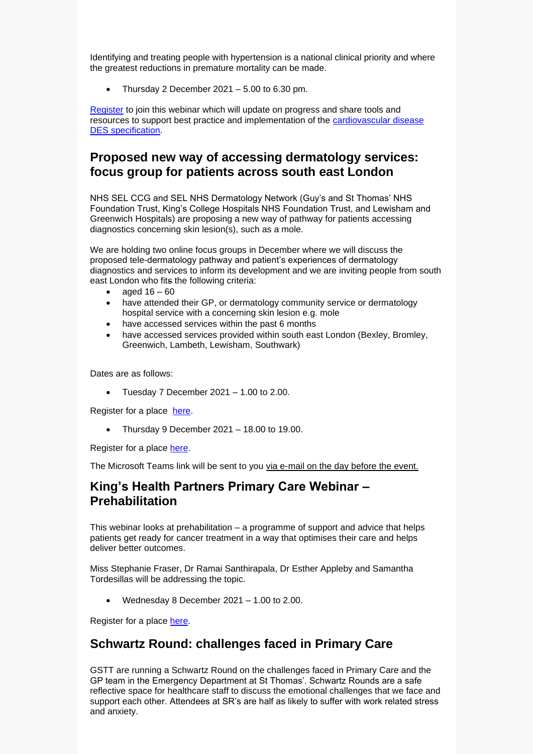Identifying and treating people with hypertension is a national clinical priority and where the greatest reductions in premature mortality can be made.

Thursday 2 December  $2021 - 5.00$  to 6.30 pm.

[Register](https://www.events.england.nhs.uk/events/hypertension-cvd-prevention-des-webinar) to join this webinar which will update on progress and share tools and resources to support best practice and implementation of the [cardiovascular disease](https://www.england.nhs.uk/primary-care/primary-care-networks/network-contract-des/)  [DES specification.](https://www.england.nhs.uk/primary-care/primary-care-networks/network-contract-des/)

## **Proposed new way of accessing dermatology services: focus group for patients across south east London**

NHS SEL CCG and SEL NHS Dermatology Network (Guy's and St Thomas' NHS Foundation Trust, King's College Hospitals NHS Foundation Trust, and Lewisham and Greenwich Hospitals) are proposing a new way of pathway for patients accessing diagnostics concerning skin lesion(s), such as a mole.

We are holding two online focus groups in December where we will discuss the proposed tele-dermatology pathway and patient's experiences of dermatology diagnostics and services to inform its development and we are inviting people from south east London who fits the following criteria:

- aged  $16 60$
- have attended their GP, or dermatology community service or dermatology hospital service with a concerning skin lesion e.g. mole
- have accessed services within the past 6 months
- have accessed services provided within south east London (Bexley, Bromley, Greenwich, Lambeth, Lewisham, Southwark)

Dates are as follows:

• Tuesday 7 December 2021 – 1.00 to 2.00.

Register for a place [here.](https://www.eventbrite.co.uk/e/212344366717)

• Thursday 9 December 2021 – 18.00 to 19.00.

Register for a place [here.](https://www.eventbrite.co.uk/e/213453113007)

The Microsoft Teams link will be sent to you via e-mail on the day before the event.

# **King's Health Partners Primary Care Webinar – Prehabilitation**

This webinar looks at prehabilitation – a programme of support and advice that helps patients get ready for cancer treatment in a way that optimises their care and helps deliver better outcomes.

Miss Stephanie Fraser, Dr Ramai Santhirapala, Dr Esther Appleby and Samantha Tordesillas will be addressing the topic.

• Wednesday 8 December 2021 – 1.00 to 2.00.

Register for a place [here.](https://www.eventbrite.co.uk/e/kings-health-partners-primary-care-webinar-series-2021-tickets-208523959777)

## **Schwartz Round: challenges faced in Primary Care**

GSTT are running a Schwartz Round on the challenges faced in Primary Care and the GP team in the Emergency Department at St Thomas'. Schwartz Rounds are a safe reflective space for healthcare staff to discuss the emotional challenges that we face and support each other. Attendees at SR's are half as likely to suffer with work related stress and anxiety.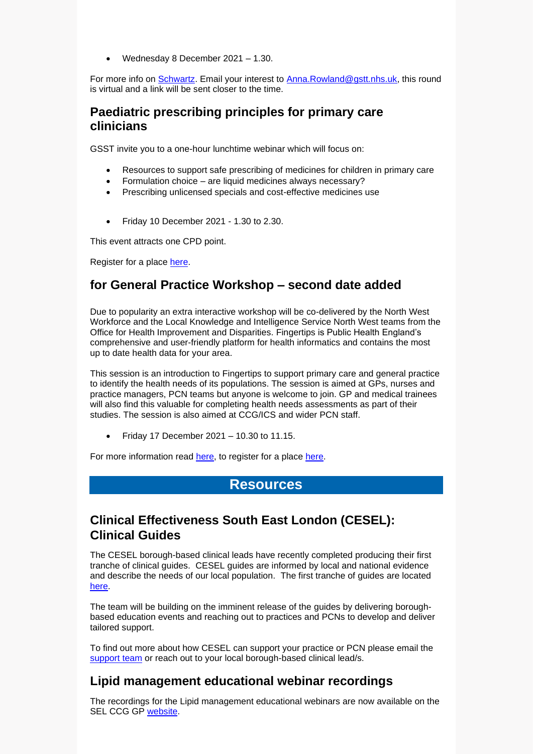• Wednesday 8 December 2021 – 1.30.

For more info on [Schwartz.](http://guysstthomashospital.newsweaver.co.uk/Connect/jlluexbmzkl18cb004bcdg/external?email=true&a=5&p=60833542&t=27884515) Email your interest to [Anna.Rowland@gstt.nhs.uk,](http://guysstthomashospital.newsweaver.co.uk/Connect/2diw3cnx4qe18cb004bcdg/external?email=true&a=5&p=60833542&t=27884515) this round is virtual and a link will be sent closer to the time.

### **Paediatric prescribing principles for primary care clinicians**

GSST invite you to a one-hour lunchtime webinar which will focus on:

- Resources to support safe prescribing of medicines for children in primary care
- Formulation choice are liquid medicines always necessary?
- Prescribing unlicensed specials and cost-effective medicines use
- Friday 10 December 2021 1.30 to 2.30.

This event attracts one CPD point.

Register for a place [here.](https://www.eventbrite.co.uk/e/paediatric-prescribing-principles-for-primary-care-clinicians-tickets-209694380537)

# **for General Practice Workshop – second date added**

Due to popularity an extra interactive workshop will be co-delivered by the North West Workforce and the Local Knowledge and Intelligence Service North West teams from the Office for Health Improvement and Disparities. Fingertips is Public Health England's comprehensive and user-friendly platform for health informatics and contains the most up to date health data for your area.

This session is an introduction to Fingertips to support primary care and general practice to identify the health needs of its populations. The session is aimed at GPs, nurses and practice managers, PCN teams but anyone is welcome to join. GP and medical trainees will also find this valuable for completing health needs assessments as part of their studies. The session is also aimed at CCG/ICS and wider PCN staff.

• Friday 17 December  $2021 - 10.30$  to 11.15.

For more information read [here,](https://selondonccg.nhs.uk/wp-content/uploads/2021/11/Workshop-Fingertips-17th-December.pdf) to register for a place [here.](https://forms.office.com/Pages/ResponsePage.aspx?id=mRRO7jVKLkutR188-d6GZvXnjM3AKBBCuKmVBxikqL9UMVhHU0RKU0xHVExNQ1JUSlI5SktHSFdMMS4u)

## **Resources**

# **Clinical Effectiveness South East London (CESEL): Clinical Guides**

The CESEL borough-based clinical leads have recently completed producing their first tranche of clinical guides. CESEL guides are informed by local and national evidence and describe the needs of our local population. The first tranche of guides are located [here.](https://selondonccg.nhs.uk/covid_19/clinical-effectiveness-sel/)

The team will be building on the imminent release of the guides by delivering boroughbased education events and reaching out to practices and PCNs to develop and deliver tailored support.

To find out more about how CESEL can support your practice or PCN please email the [support team](mailto:selccg.clinicaleffectiveness@nhs.net) or reach out to your local borough-based clinical lead/s.

# **Lipid management educational webinar recordings**

The recordings for the Lipid management educational webinars are now available on the SEL CCG GP [website.](https://selondonccg.nhs.uk/healthcare-professionals/medicines-optimisation/south-east-london-medicines-optimisation-team/webinars/)